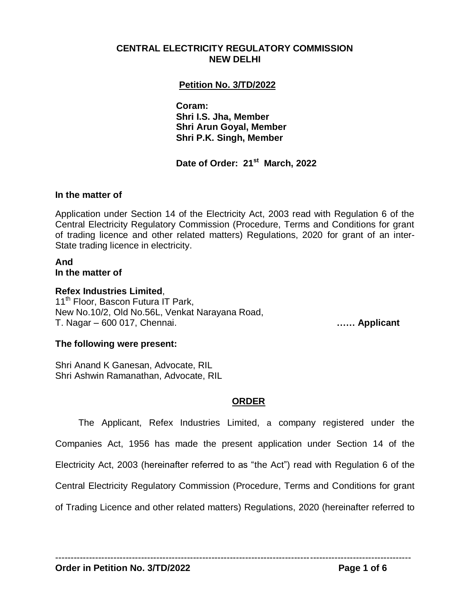### **CENTRAL ELECTRICITY REGULATORY COMMISSION NEW DELHI**

## **Petition No. 3/TD/2022**

**Coram: Shri I.S. Jha, Member Shri Arun Goyal, Member Shri P.K. Singh, Member**

 **Date of Order: 21st March, 2022**

#### **In the matter of**

Application under Section 14 of the Electricity Act, 2003 read with Regulation 6 of the Central Electricity Regulatory Commission (Procedure, Terms and Conditions for grant of trading licence and other related matters) Regulations, 2020 for grant of an inter-State trading licence in electricity.

# **And**

**In the matter of**

**Refex Industries Limited**,

11<sup>th</sup> Floor, Bascon Futura IT Park, New No.10/2, Old No.56L, Venkat Narayana Road, T. Nagar – 600 017, Chennai. **…… Applicant**

### **The following were present:**

Shri Anand K Ganesan, Advocate, RIL Shri Ashwin Ramanathan, Advocate, RIL

### **ORDER**

The Applicant, Refex Industries Limited, a company registered under the Companies Act, 1956 has made the present application under Section 14 of the Electricity Act, 2003 (hereinafter referred to as "the Act") read with Regulation 6 of the Central Electricity Regulatory Commission (Procedure, Terms and Conditions for grant of Trading Licence and other related matters) Regulations, 2020 (hereinafter referred to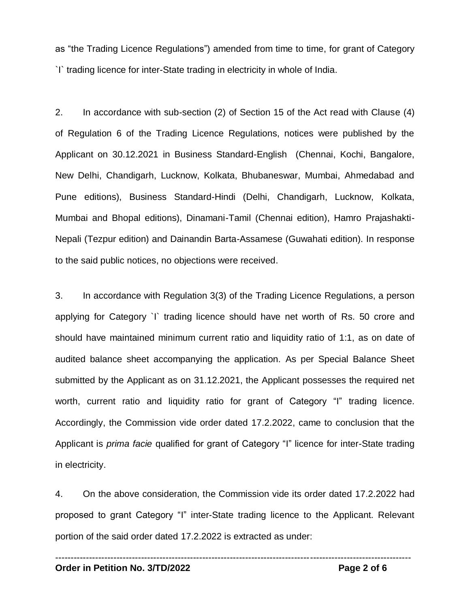as "the Trading Licence Regulations") amended from time to time, for grant of Category `I` trading licence for inter-State trading in electricity in whole of India.

2. In accordance with sub-section (2) of Section 15 of the Act read with Clause (4) of Regulation 6 of the Trading Licence Regulations, notices were published by the Applicant on 30.12.2021 in Business Standard-English (Chennai, Kochi, Bangalore, New Delhi, Chandigarh, Lucknow, Kolkata, Bhubaneswar, Mumbai, Ahmedabad and Pune editions), Business Standard-Hindi (Delhi, Chandigarh, Lucknow, Kolkata, Mumbai and Bhopal editions), Dinamani-Tamil (Chennai edition), Hamro Prajashakti-Nepali (Tezpur edition) and Dainandin Barta-Assamese (Guwahati edition). In response to the said public notices, no objections were received.

3. In accordance with Regulation 3(3) of the Trading Licence Regulations, a person applying for Category `I` trading licence should have net worth of Rs. 50 crore and should have maintained minimum current ratio and liquidity ratio of 1:1, as on date of audited balance sheet accompanying the application. As per Special Balance Sheet submitted by the Applicant as on 31.12.2021, the Applicant possesses the required net worth, current ratio and liquidity ratio for grant of Category "I" trading licence. Accordingly, the Commission vide order dated 17.2.2022, came to conclusion that the Applicant is *prima facie* qualified for grant of Category "I" licence for inter-State trading in electricity.

4. On the above consideration, the Commission vide its order dated 17.2.2022 had proposed to grant Category "I" inter-State trading licence to the Applicant. Relevant portion of the said order dated 17.2.2022 is extracted as under:

--------------------------------------------------------------------------------------------------------------------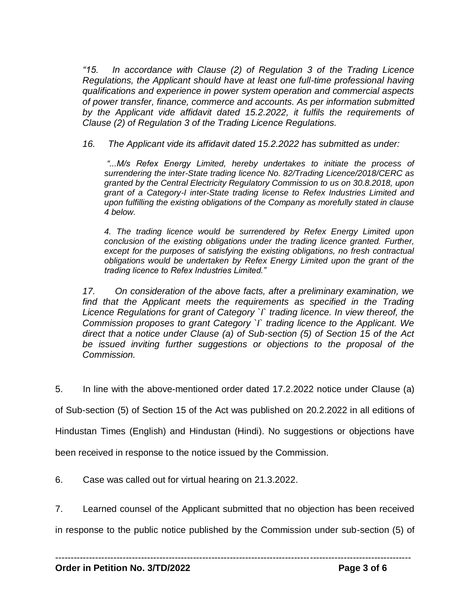*"15. In accordance with Clause (2) of Regulation 3 of the Trading Licence Regulations, the Applicant should have at least one full-time professional having qualifications and experience in power system operation and commercial aspects of power transfer, finance, commerce and accounts. As per information submitted by the Applicant vide affidavit dated 15.2.2022, it fulfils the requirements of Clause (2) of Regulation 3 of the Trading Licence Regulations.*

*16. The Applicant vide its affidavit dated 15.2.2022 has submitted as under:*

*"...M/s Refex Energy Limited, hereby undertakes to initiate the process of surrendering the inter-State trading licence No. 82/Trading Licence/2018/CERC as granted by the Central Electricity Regulatory Commission to us on 30.8.2018, upon grant of a Category-I inter-State trading license to Refex Industries Limited and upon fulfilling the existing obligations of the Company as morefully stated in clause 4 below.*

*4. The trading licence would be surrendered by Refex Energy Limited upon conclusion of the existing obligations under the trading licence granted. Further, except for the purposes of satisfying the existing obligations, no fresh contractual obligations would be undertaken by Refex Energy Limited upon the grant of the trading licence to Refex Industries Limited."* 

*17. On consideration of the above facts, after a preliminary examination, we*  find that the Applicant meets the requirements as specified in the Trading *Licence Regulations for grant of Category `I` trading licence. In view thereof, the Commission proposes to grant Category `I` trading licence to the Applicant. We direct that a notice under Clause (a) of Sub-section (5) of Section 15 of the Act be issued inviting further suggestions or objections to the proposal of the Commission.* 

5. In line with the above-mentioned order dated 17.2.2022 notice under Clause (a)

of Sub-section (5) of Section 15 of the Act was published on 20.2.2022 in all editions of

Hindustan Times (English) and Hindustan (Hindi). No suggestions or objections have

been received in response to the notice issued by the Commission.

6. Case was called out for virtual hearing on 21.3.2022.

7. Learned counsel of the Applicant submitted that no objection has been received

in response to the public notice published by the Commission under sub-section (5) of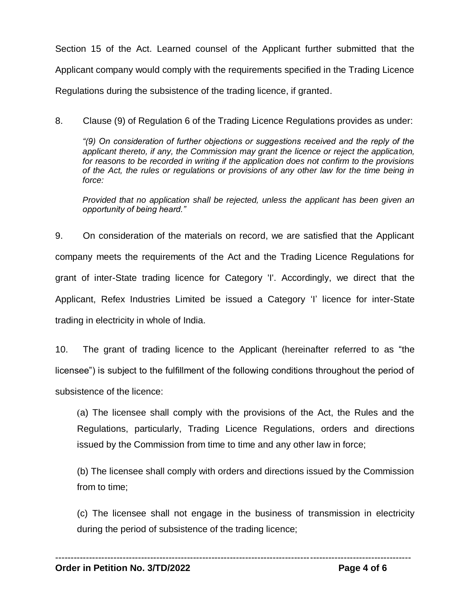Section 15 of the Act. Learned counsel of the Applicant further submitted that the Applicant company would comply with the requirements specified in the Trading Licence Regulations during the subsistence of the trading licence, if granted.

8. Clause (9) of Regulation 6 of the Trading Licence Regulations provides as under:

*"(9) On consideration of further objections or suggestions received and the reply of the applicant thereto, if any, the Commission may grant the licence or reject the application, for reasons to be recorded in writing if the application does not confirm to the provisions of the Act, the rules or regulations or provisions of any other law for the time being in force:*

*Provided that no application shall be rejected, unless the applicant has been given an opportunity of being heard."*

9. On consideration of the materials on record, we are satisfied that the Applicant company meets the requirements of the Act and the Trading Licence Regulations for grant of inter-State trading licence for Category 'I'. Accordingly, we direct that the Applicant, Refex Industries Limited be issued a Category 'I' licence for inter-State trading in electricity in whole of India.

10. The grant of trading licence to the Applicant (hereinafter referred to as "the licensee") is subject to the fulfillment of the following conditions throughout the period of subsistence of the licence:

(a) The licensee shall comply with the provisions of the Act, the Rules and the Regulations, particularly, Trading Licence Regulations, orders and directions issued by the Commission from time to time and any other law in force;

(b) The licensee shall comply with orders and directions issued by the Commission from to time;

(c) The licensee shall not engage in the business of transmission in electricity during the period of subsistence of the trading licence;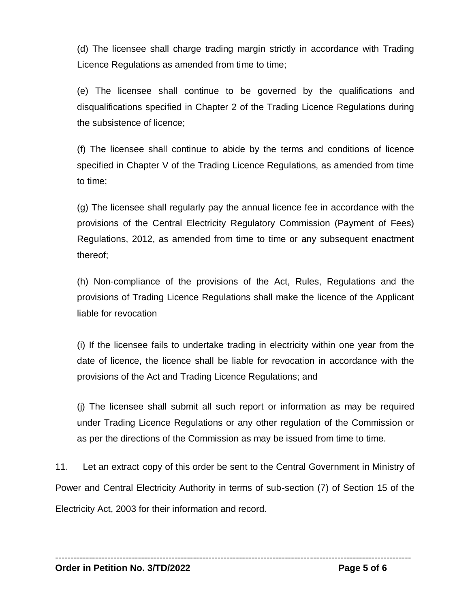(d) The licensee shall charge trading margin strictly in accordance with Trading Licence Regulations as amended from time to time;

(e) The licensee shall continue to be governed by the qualifications and disqualifications specified in Chapter 2 of the Trading Licence Regulations during the subsistence of licence;

(f) The licensee shall continue to abide by the terms and conditions of licence specified in Chapter V of the Trading Licence Regulations, as amended from time to time;

(g) The licensee shall regularly pay the annual licence fee in accordance with the provisions of the Central Electricity Regulatory Commission (Payment of Fees) Regulations, 2012, as amended from time to time or any subsequent enactment thereof;

(h) Non-compliance of the provisions of the Act, Rules, Regulations and the provisions of Trading Licence Regulations shall make the licence of the Applicant liable for revocation

(i) If the licensee fails to undertake trading in electricity within one year from the date of licence, the licence shall be liable for revocation in accordance with the provisions of the Act and Trading Licence Regulations; and

(j) The licensee shall submit all such report or information as may be required under Trading Licence Regulations or any other regulation of the Commission or as per the directions of the Commission as may be issued from time to time.

11. Let an extract copy of this order be sent to the Central Government in Ministry of Power and Central Electricity Authority in terms of sub-section (7) of Section 15 of the Electricity Act, 2003 for their information and record.